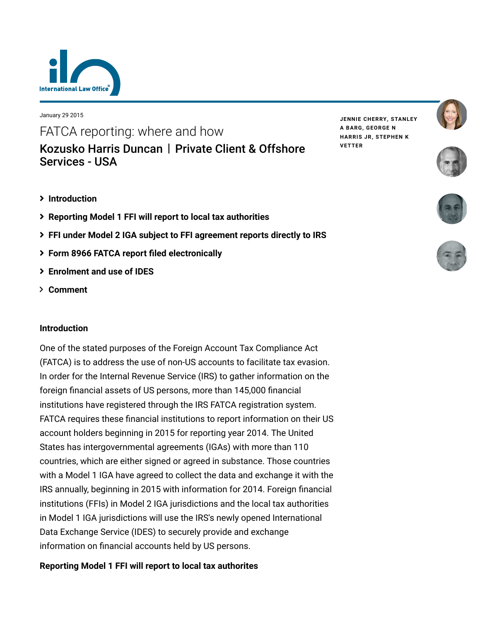

January 29 2015

FATCA reporting: where and how [Kozusko Harris Duncan](https://www.lexology.com/contributors/23364) | Private Client & Offshore Services - USA

**JENNIE [CHERRY,](https://www.lexology.com/23364/author/Jennie_Cherry/) [STANLEY](https://www.lexology.com/23364/author/Stanley_A_Barg/) A BARG, [GEORGE](https://www.lexology.com/23364/author/George_N_Harris_Jr/) N HARRIS JR, [STEPHEN](https://www.lexology.com/23364/author/Stephen_K_Vetter/) K VETTER**





- **[Introduction](#page-0-0)**
- **[Reporting Model 1 FFI will report to local tax authorities](#page-0-1)**
- **[FFI under Model 2 IGA subject to FFI agreement reports directly to IRS](#page-2-0)**
- **[Form 8966 FATCA report filed electronically](#page-3-0)**
- **[Enrolment and use of IDES](#page-3-1)**
- **[Comment](#page-4-0)**

## <span id="page-0-0"></span>**Introduction**

One of the stated purposes of the Foreign Account Tax Compliance Act (FATCA) is to address the use of non-US accounts to facilitate tax evasion. In order for the Internal Revenue Service (IRS) to gather information on the foreign financial assets of US persons, more than 145,000 financial institutions have registered through the IRS FATCA registration system. FATCA requires these financial institutions to report information on their US account holders beginning in 2015 for reporting year 2014. The United States has intergovernmental agreements (IGAs) with more than 110 countries, which are either signed or agreed in substance. Those countries with a Model 1 IGA have agreed to collect the data and exchange it with the IRS annually, beginning in 2015 with information for 2014. Foreign financial institutions (FFIs) in Model 2 IGA jurisdictions and the local tax authorities in Model 1 IGA jurisdictions will use the IRS's newly opened International Data Exchange Service (IDES) to securely provide and exchange information on financial accounts held by US persons.

# <span id="page-0-1"></span>**Reporting Model 1 FFI will report to local tax authorites**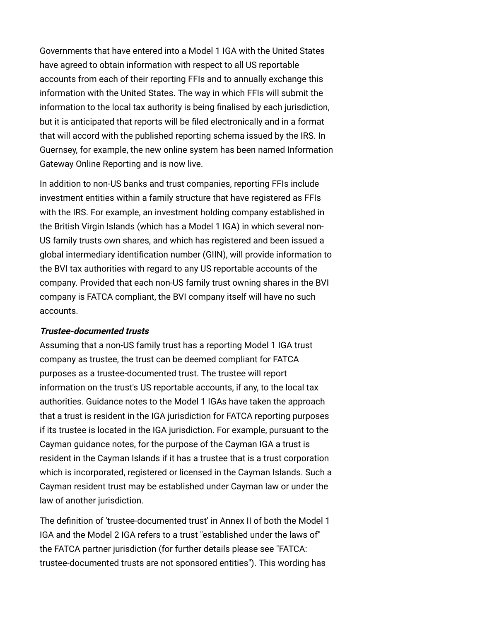Governments that have entered into a Model 1 IGA with the United States have agreed to obtain information with respect to all US reportable accounts from each of their reporting FFIs and to annually exchange this information with the United States. The way in which FFIs will submit the information to the local tax authority is being finalised by each jurisdiction, but it is anticipated that reports will be filed electronically and in a format that will accord with the published reporting schema issued by the IRS. In Guernsey, for example, the new online system has been named Information Gateway Online Reporting and is now live.

In addition to non-US banks and trust companies, reporting FFIs include investment entities within a family structure that have registered as FFIs with the IRS. For example, an investment holding company established in the British Virgin Islands (which has a Model 1 IGA) in which several non-US family trusts own shares, and which has registered and been issued a global intermediary identification number (GIIN), will provide information to the BVI tax authorities with regard to any US reportable accounts of the company. Provided that each non-US family trust owning shares in the BVI company is FATCA compliant, the BVI company itself will have no such accounts.

#### **Trustee-documented trusts**

Assuming that a non-US family trust has a reporting Model 1 IGA trust company as trustee, the trust can be deemed compliant for FATCA purposes as a trustee-documented trust. The trustee will report information on the trust's US reportable accounts, if any, to the local tax authorities. Guidance notes to the Model 1 IGAs have taken the approach that a trust is resident in the IGA jurisdiction for FATCA reporting purposes if its trustee is located in the IGA jurisdiction. For example, pursuant to the Cayman guidance notes, for the purpose of the Cayman IGA a trust is resident in the Cayman Islands if it has a trustee that is a trust corporation which is incorporated, registered or licensed in the Cayman Islands. Such a Cayman resident trust may be established under Cayman law or under the law of another jurisdiction.

The definition of 'trustee-documented trust' in Annex II of both the Model 1 IGA and the Model 2 IGA refers to a trust "established under the laws of" [the FATCA partner jurisdiction \(for further details please see "FATCA:](http://www.internationallawoffice.com/newsletters/Detail.aspx?g=c53ac75c-016f-4f15-a9c4-ac99a207d615) trustee-documented trusts are not sponsored entities"). This wording has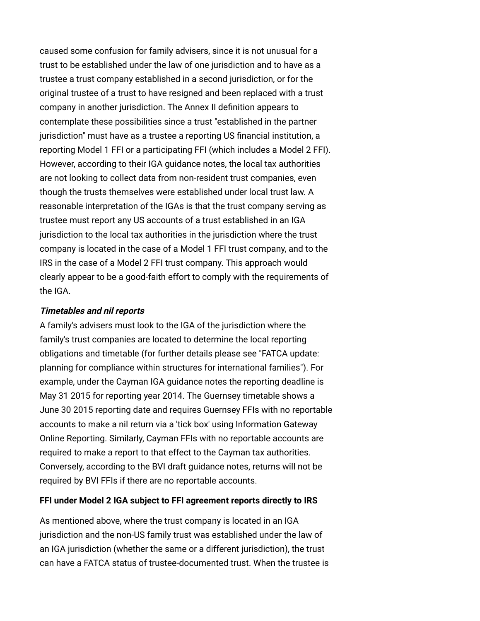caused some confusion for family advisers, since it is not unusual for a trust to be established under the law of one jurisdiction and to have as a trustee a trust company established in a second jurisdiction, or for the original trustee of a trust to have resigned and been replaced with a trust company in another jurisdiction. The Annex II definition appears to contemplate these possibilities since a trust "established in the partner jurisdiction" must have as a trustee a reporting US financial institution, a reporting Model 1 FFI or a participating FFI (which includes a Model 2 FFI). However, according to their IGA guidance notes, the local tax authorities are not looking to collect data from non-resident trust companies, even though the trusts themselves were established under local trust law. A reasonable interpretation of the IGAs is that the trust company serving as trustee must report any US accounts of a trust established in an IGA jurisdiction to the local tax authorities in the jurisdiction where the trust company is located in the case of a Model 1 FFI trust company, and to the IRS in the case of a Model 2 FFI trust company. This approach would clearly appear to be a good-faith effort to comply with the requirements of the IGA.

#### **Timetables and nil reports**

A family's advisers must look to the IGA of the jurisdiction where the family's trust companies are located to determine the local reporting obligations and timetable (for further details please see "FATCA update: [planning for compliance within structures for international families"\). Fo](http://www.internationallawoffice.com/newsletters/Detail.aspx?g=5cd7e0f8-e0ce-4f3e-b83f-248ec2013e22)r example, under the Cayman IGA guidance notes the reporting deadline is May 31 2015 for reporting year 2014. The Guernsey timetable shows a June 30 2015 reporting date and requires Guernsey FFIs with no reportable accounts to make a nil return via a 'tick box' using Information Gateway Online Reporting. Similarly, Cayman FFIs with no reportable accounts are required to make a report to that effect to the Cayman tax authorities. Conversely, according to the BVI draft guidance notes, returns will not be required by BVI FFIs if there are no reportable accounts.

#### <span id="page-2-0"></span>**FFI under Model 2 IGA subject to FFI agreement reports directly to IRS**

As mentioned above, where the trust company is located in an IGA jurisdiction and the non-US family trust was established under the law of an IGA jurisdiction (whether the same or a different jurisdiction), the trust can have a FATCA status of trustee-documented trust. When the trustee is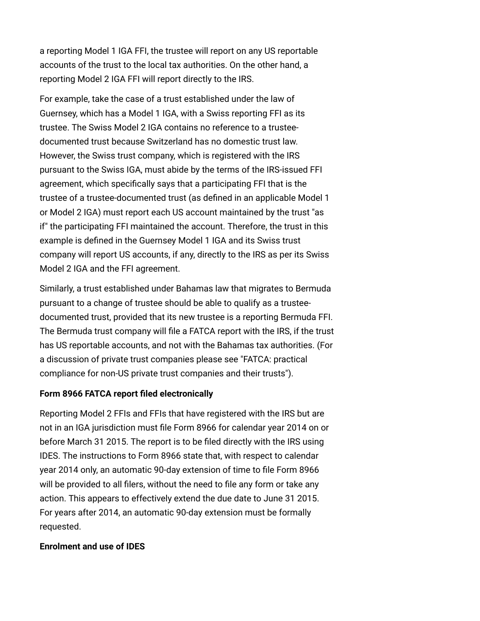a reporting Model 1 IGA FFI, the trustee will report on any US reportable accounts of the trust to the local tax authorities. On the other hand, a reporting Model 2 IGA FFI will report directly to the IRS.

For example, take the case of a trust established under the law of Guernsey, which has a Model 1 IGA, with a Swiss reporting FFI as its trustee. The Swiss Model 2 IGA contains no reference to a trusteedocumented trust because Switzerland has no domestic trust law. However, the Swiss trust company, which is registered with the IRS pursuant to the Swiss IGA, must abide by the terms of the IRS-issued FFI agreement, which specifically says that a participating FFI that is the trustee of a trustee-documented trust (as defined in an applicable Model 1 or Model 2 IGA) must report each US account maintained by the trust "as if" the participating FFI maintained the account. Therefore, the trust in this example is defined in the Guernsey Model 1 IGA and its Swiss trust company will report US accounts, if any, directly to the IRS as per its Swiss Model 2 IGA and the FFI agreement.

Similarly, a trust established under Bahamas law that migrates to Bermuda pursuant to a change of trustee should be able to qualify as a trusteedocumented trust, provided that its new trustee is a reporting Bermuda FFI. The Bermuda trust company will file a FATCA report with the IRS, if the trust has US reportable accounts, and not with the Bahamas tax authorities. (For [a discussion of private trust companies please see "FATCA: practical](http://www.internationallawoffice.com/newsletters/Detail.aspx?g=4e9e7b05-92f5-4bc6-965f-522839311e3c) compliance for non-US private trust companies and their trusts").

#### <span id="page-3-0"></span>**Form 8966 FATCA report filed electronically**

Reporting Model 2 FFIs and FFIs that have registered with the IRS but are not in an IGA jurisdiction must file Form 8966 for calendar year 2014 on or before March 31 2015. The report is to be filed directly with the IRS using IDES. The instructions to Form 8966 state that, with respect to calendar year 2014 only, an automatic 90-day extension of time to file Form 8966 will be provided to all filers, without the need to file any form or take any action. This appears to effectively extend the due date to June 31 2015. For years after 2014, an automatic 90-day extension must be formally requested.

#### <span id="page-3-1"></span>**Enrolment and use of IDES**